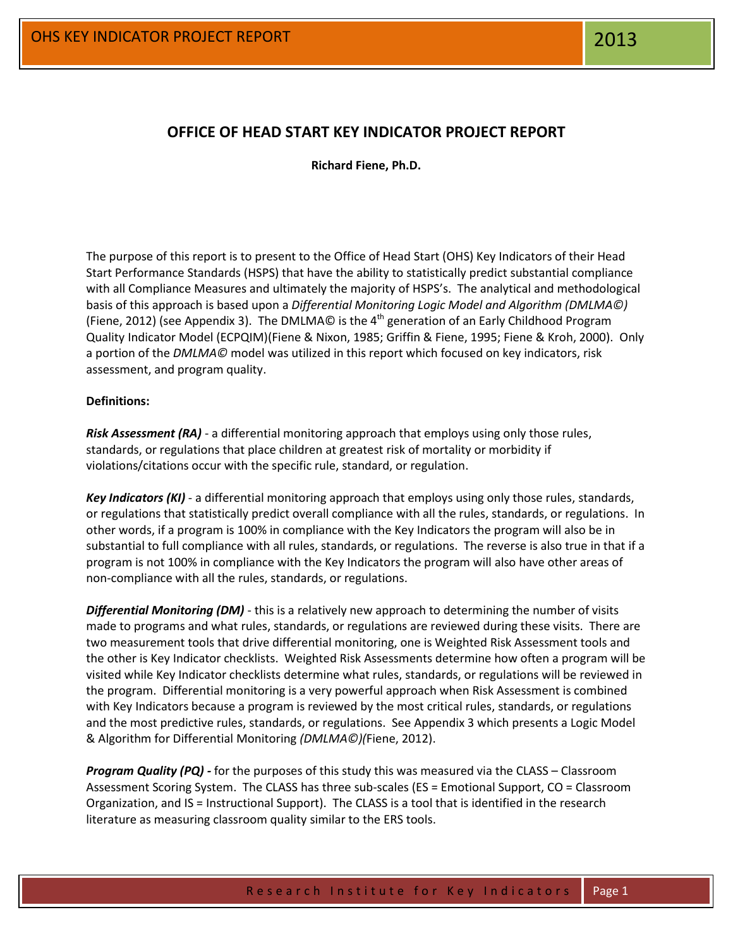# **OFFICE OF HEAD START KEY INDICATOR PROJECT REPORT**

**Richard Fiene, Ph.D.**

The purpose of this report is to present to the Office of Head Start (OHS) Key Indicators of their Head Start Performance Standards (HSPS) that have the ability to statistically predict substantial compliance with all Compliance Measures and ultimately the majority of HSPS's. The analytical and methodological basis of this approach is based upon a *Differential Monitoring Logic Model and Algorithm (DMLMA©)* (Fiene, 2012) (see Appendix 3). The DMLMA $\odot$  is the 4<sup>th</sup> generation of an Early Childhood Program Quality Indicator Model (ECPQIM)(Fiene & Nixon, 1985; Griffin & Fiene, 1995; Fiene & Kroh, 2000). Only a portion of the *DMLMA©* model was utilized in this report which focused on key indicators, risk assessment, and program quality.

# **Definitions:**

*Risk Assessment (RA)* - a differential monitoring approach that employs using only those rules, standards, or regulations that place children at greatest risk of mortality or morbidity if violations/citations occur with the specific rule, standard, or regulation.

*Key Indicators (KI)* - a differential monitoring approach that employs using only those rules, standards, or regulations that statistically predict overall compliance with all the rules, standards, or regulations. In other words, if a program is 100% in compliance with the Key Indicators the program will also be in substantial to full compliance with all rules, standards, or regulations. The reverse is also true in that if a program is not 100% in compliance with the Key Indicators the program will also have other areas of non-compliance with all the rules, standards, or regulations.

*Differential Monitoring (DM)* - this is a relatively new approach to determining the number of visits made to programs and what rules, standards, or regulations are reviewed during these visits. There are two measurement tools that drive differential monitoring, one is Weighted Risk Assessment tools and the other is Key Indicator checklists. Weighted Risk Assessments determine how often a program will be visited while Key Indicator checklists determine what rules, standards, or regulations will be reviewed in the program. Differential monitoring is a very powerful approach when Risk Assessment is combined with Key Indicators because a program is reviewed by the most critical rules, standards, or regulations and the most predictive rules, standards, or regulations. See Appendix 3 which presents a Logic Model & Algorithm for Differential Monitoring *(DMLMA©)(*Fiene, 2012).

*Program Quality (PQ) -* for the purposes of this study this was measured via the CLASS – Classroom Assessment Scoring System. The CLASS has three sub-scales (ES = Emotional Support, CO = Classroom Organization, and IS = Instructional Support). The CLASS is a tool that is identified in the research literature as measuring classroom quality similar to the ERS tools.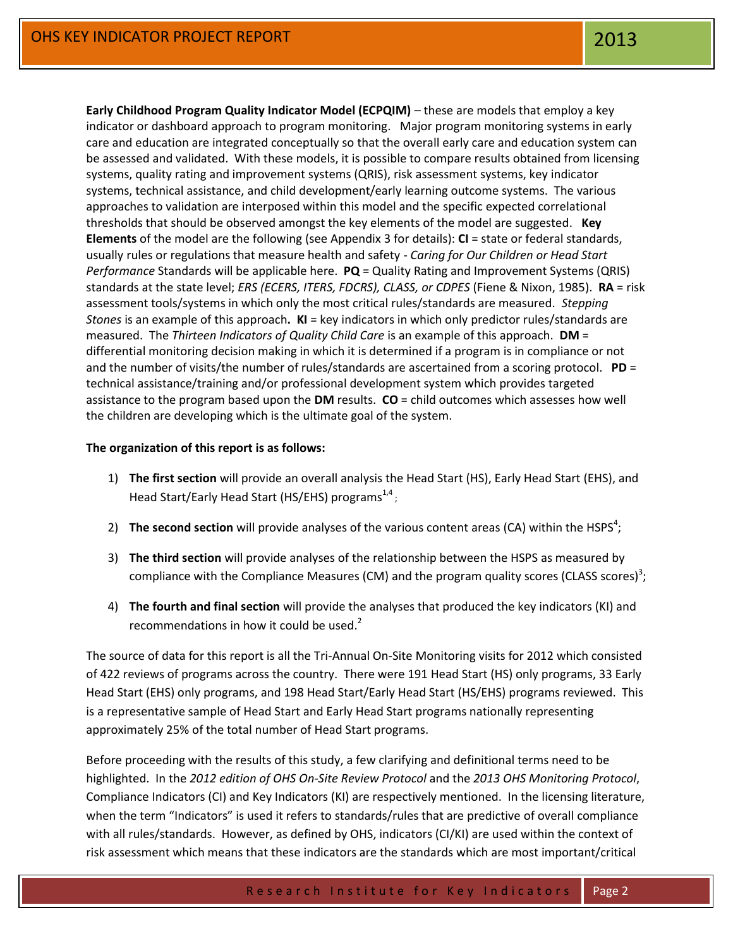**Early Childhood Program Quality Indicator Model (ECPQIM)** – these are models that employ a key indicator or dashboard approach to program monitoring. Major program monitoring systems in early care and education are integrated conceptually so that the overall early care and education system can be assessed and validated. With these models, it is possible to compare results obtained from licensing systems, quality rating and improvement systems (QRIS), risk assessment systems, key indicator systems, technical assistance, and child development/early learning outcome systems. The various approaches to validation are interposed within this model and the specific expected correlational thresholds that should be observed amongst the key elements of the model are suggested. **Key Elements** of the model are the following (see Appendix 3 for details): **CI** = state or federal standards, usually rules or regulations that measure health and safety - *Caring for Our Children or Head Start Performance* Standards will be applicable here. **PQ** = Quality Rating and Improvement Systems (QRIS) standards at the state level; *ERS (ECERS, ITERS, FDCRS), CLASS, or CDPES* (Fiene & Nixon, 1985). **RA** = risk assessment tools/systems in which only the most critical rules/standards are measured. *Stepping Stones* is an example of this approach**. KI** = key indicators in which only predictor rules/standards are measured. The *Thirteen Indicators of Quality Child Care* is an example of this approach. **DM** = differential monitoring decision making in which it is determined if a program is in compliance or not and the number of visits/the number of rules/standards are ascertained from a scoring protocol. **PD** = technical assistance/training and/or professional development system which provides targeted assistance to the program based upon the **DM** results. **CO** = child outcomes which assesses how well the children are developing which is the ultimate goal of the system.

# **The organization of this report is as follows:**

- 1) **The first section** will provide an overall analysis the Head Start (HS), Early Head Start (EHS), and Head Start/Early Head Start (HS/EHS) programs $^{1,4}$ ;
- 2) **The second section** will provide analyses of the various content areas (CA) within the HSPS<sup>4</sup>;
- 3) **The third section** will provide analyses of the relationship between the HSPS as measured by compliance with the Compliance Measures (CM) and the program quality scores (CLASS scores)<sup>3</sup>;
- 4) **The fourth and final section** will provide the analyses that produced the key indicators (KI) and recommendations in how it could be used.<sup>2</sup>

The source of data for this report is all the Tri-Annual On-Site Monitoring visits for 2012 which consisted of 422 reviews of programs across the country. There were 191 Head Start (HS) only programs, 33 Early Head Start (EHS) only programs, and 198 Head Start/Early Head Start (HS/EHS) programs reviewed. This is a representative sample of Head Start and Early Head Start programs nationally representing approximately 25% of the total number of Head Start programs.

Before proceeding with the results of this study, a few clarifying and definitional terms need to be highlighted. In the *2012 edition of OHS On-Site Review Protocol* and the *2013 OHS Monitoring Protocol*, Compliance Indicators (CI) and Key Indicators (KI) are respectively mentioned. In the licensing literature, when the term "Indicators" is used it refers to standards/rules that are predictive of overall compliance with all rules/standards. However, as defined by OHS, indicators (CI/KI) are used within the context of risk assessment which means that these indicators are the standards which are most important/critical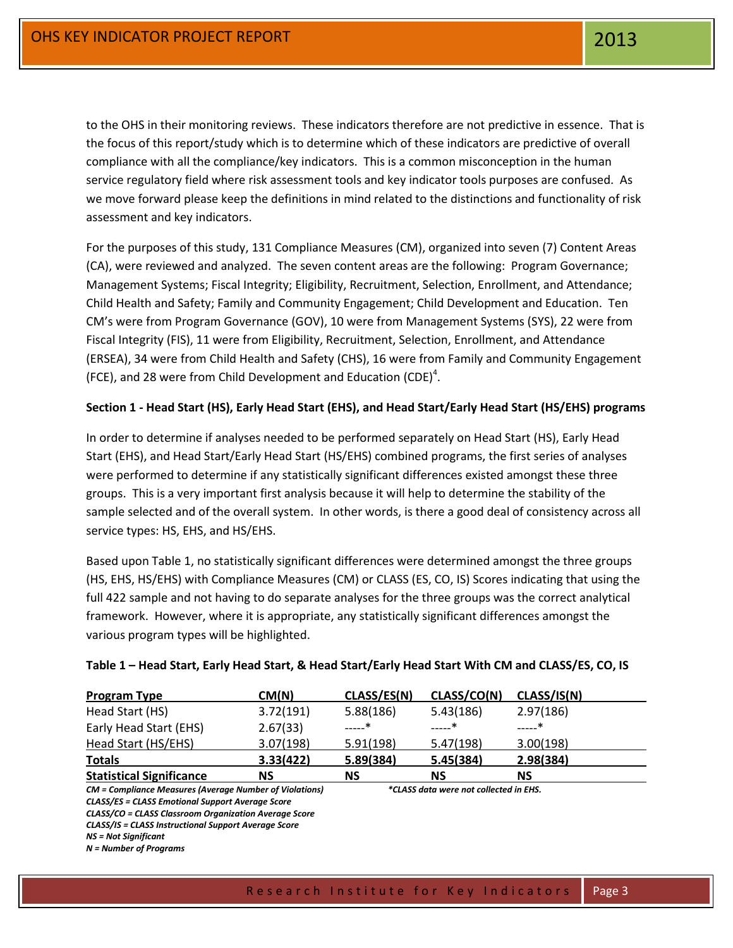to the OHS in their monitoring reviews. These indicators therefore are not predictive in essence. That is the focus of this report/study which is to determine which of these indicators are predictive of overall compliance with all the compliance/key indicators. This is a common misconception in the human service regulatory field where risk assessment tools and key indicator tools purposes are confused. As we move forward please keep the definitions in mind related to the distinctions and functionality of risk assessment and key indicators.

For the purposes of this study, 131 Compliance Measures (CM), organized into seven (7) Content Areas (CA), were reviewed and analyzed. The seven content areas are the following: Program Governance; Management Systems; Fiscal Integrity; Eligibility, Recruitment, Selection, Enrollment, and Attendance; Child Health and Safety; Family and Community Engagement; Child Development and Education. Ten CM's were from Program Governance (GOV), 10 were from Management Systems (SYS), 22 were from Fiscal Integrity (FIS), 11 were from Eligibility, Recruitment, Selection, Enrollment, and Attendance (ERSEA), 34 were from Child Health and Safety (CHS), 16 were from Family and Community Engagement (FCE), and 28 were from Child Development and Education (CDE)<sup>4</sup>.

# **Section 1 - Head Start (HS), Early Head Start (EHS), and Head Start/Early Head Start (HS/EHS) programs**

In order to determine if analyses needed to be performed separately on Head Start (HS), Early Head Start (EHS), and Head Start/Early Head Start (HS/EHS) combined programs, the first series of analyses were performed to determine if any statistically significant differences existed amongst these three groups. This is a very important first analysis because it will help to determine the stability of the sample selected and of the overall system. In other words, is there a good deal of consistency across all service types: HS, EHS, and HS/EHS.

Based upon Table 1, no statistically significant differences were determined amongst the three groups (HS, EHS, HS/EHS) with Compliance Measures (CM) or CLASS (ES, CO, IS) Scores indicating that using the full 422 sample and not having to do separate analyses for the three groups was the correct analytical framework. However, where it is appropriate, any statistically significant differences amongst the various program types will be highlighted.

| <b>Program Type</b>                                            | CM(N)     | CLASS/ES(N) | CLASS/CO(N)                            | CLASS/IS(N) |
|----------------------------------------------------------------|-----------|-------------|----------------------------------------|-------------|
| Head Start (HS)                                                | 3.72(191) | 5.88(186)   | 5.43(186)                              | 2.97(186)   |
| Early Head Start (EHS)                                         | 2.67(33)  | $\ast$      | ——*                                    | ———*        |
| Head Start (HS/EHS)                                            | 3.07(198) | 5.91(198)   | 5.47(198)                              | 3.00(198)   |
| <b>Totals</b>                                                  | 3.33(422) | 5.89(384)   | 5.45(384)                              | 2.98(384)   |
| <b>Statistical Significance</b>                                | ΝS        | <b>NS</b>   | <b>NS</b>                              | <b>NS</b>   |
| <b>CM</b> = Compliance Measures (Average Number of Violations) |           |             | *CLASS data were not collected in EHS. |             |
| <b>CLASS/ES = CLASS Emotional Support Average Score</b>        |           |             |                                        |             |
| CLASS/CO = CLASS Classroom Organization Average Score          |           |             |                                        |             |
| CLASS/IS = CLASS Instructional Support Average Score           |           |             |                                        |             |
| <b>NS = Not Significant</b>                                    |           |             |                                        |             |
| $N =$ Number of Programs                                       |           |             |                                        |             |

# **Table 1 – Head Start, Early Head Start, & Head Start/Early Head Start With CM and CLASS/ES, CO, IS**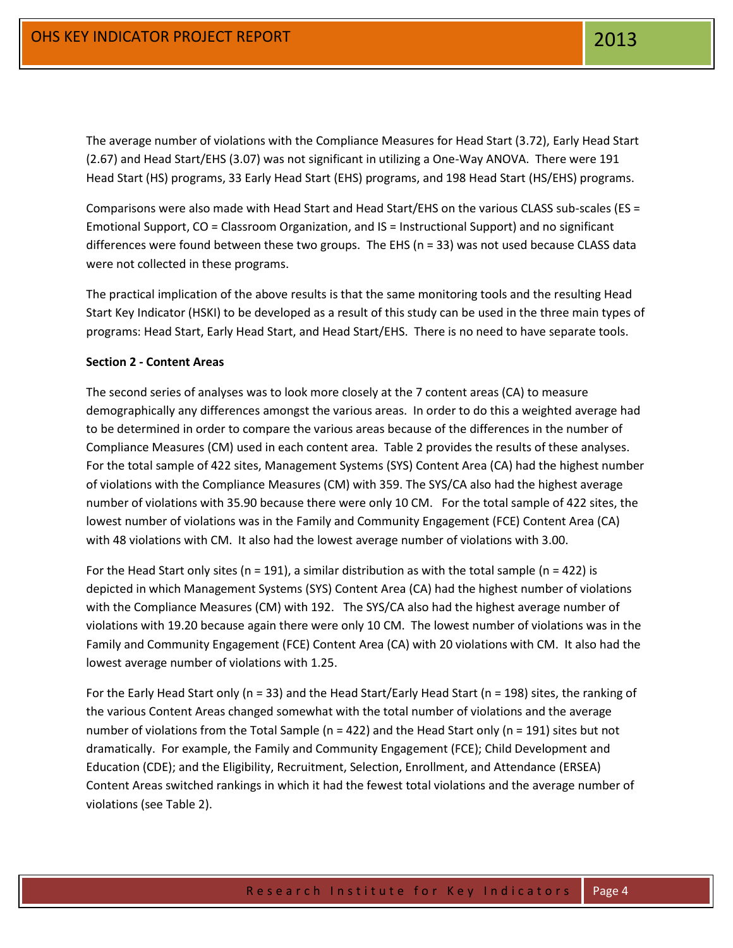The average number of violations with the Compliance Measures for Head Start (3.72), Early Head Start (2.67) and Head Start/EHS (3.07) was not significant in utilizing a One-Way ANOVA. There were 191 Head Start (HS) programs, 33 Early Head Start (EHS) programs, and 198 Head Start (HS/EHS) programs.

Comparisons were also made with Head Start and Head Start/EHS on the various CLASS sub-scales (ES = Emotional Support, CO = Classroom Organization, and IS = Instructional Support) and no significant differences were found between these two groups. The EHS ( $n = 33$ ) was not used because CLASS data were not collected in these programs.

The practical implication of the above results is that the same monitoring tools and the resulting Head Start Key Indicator (HSKI) to be developed as a result of this study can be used in the three main types of programs: Head Start, Early Head Start, and Head Start/EHS. There is no need to have separate tools.

# **Section 2 - Content Areas**

The second series of analyses was to look more closely at the 7 content areas (CA) to measure demographically any differences amongst the various areas. In order to do this a weighted average had to be determined in order to compare the various areas because of the differences in the number of Compliance Measures (CM) used in each content area. Table 2 provides the results of these analyses. For the total sample of 422 sites, Management Systems (SYS) Content Area (CA) had the highest number of violations with the Compliance Measures (CM) with 359. The SYS/CA also had the highest average number of violations with 35.90 because there were only 10 CM. For the total sample of 422 sites, the lowest number of violations was in the Family and Community Engagement (FCE) Content Area (CA) with 48 violations with CM. It also had the lowest average number of violations with 3.00.

For the Head Start only sites ( $n = 191$ ), a similar distribution as with the total sample ( $n = 422$ ) is depicted in which Management Systems (SYS) Content Area (CA) had the highest number of violations with the Compliance Measures (CM) with 192. The SYS/CA also had the highest average number of violations with 19.20 because again there were only 10 CM. The lowest number of violations was in the Family and Community Engagement (FCE) Content Area (CA) with 20 violations with CM. It also had the lowest average number of violations with 1.25.

For the Early Head Start only (n = 33) and the Head Start/Early Head Start (n = 198) sites, the ranking of the various Content Areas changed somewhat with the total number of violations and the average number of violations from the Total Sample ( $n = 422$ ) and the Head Start only ( $n = 191$ ) sites but not dramatically. For example, the Family and Community Engagement (FCE); Child Development and Education (CDE); and the Eligibility, Recruitment, Selection, Enrollment, and Attendance (ERSEA) Content Areas switched rankings in which it had the fewest total violations and the average number of violations (see Table 2).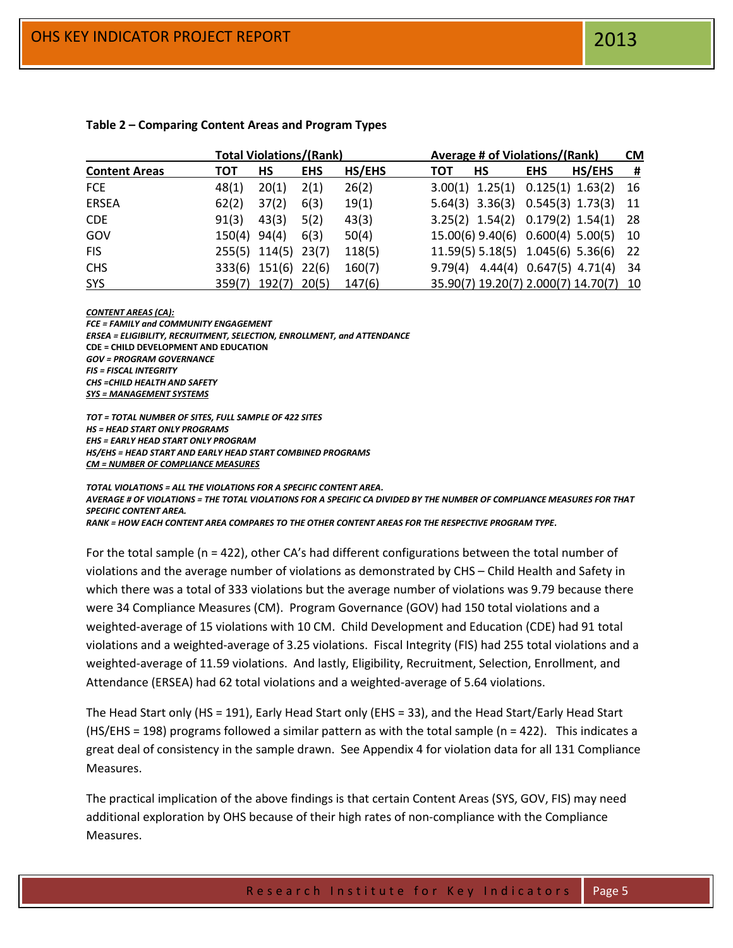|                      |                | <b>Total Violations/(Rank)</b> |            |        | Average # of Violations/(Rank)              | <b>CM</b> |
|----------------------|----------------|--------------------------------|------------|--------|---------------------------------------------|-----------|
| <b>Content Areas</b> | тот            | <b>HS</b>                      | <b>EHS</b> | HS/EHS | HS/EHS<br><b>HS</b><br><b>EHS</b><br>тот    | - #       |
| <b>FCE</b>           | 48(1)          | 20(1)                          | 2(1)       | 26(2)  | $3.00(1)$ $1.25(1)$ $0.125(1)$ $1.63(2)$    | 16        |
| <b>ERSEA</b>         | 62(2)          | 37(2)                          | 6(3)       | 19(1)  | 5.64(3) 3.36(3) 0.545(3) 1.73(3) 11         |           |
| <b>CDE</b>           | 91(3)          | 43(3)                          | 5(2)       | 43(3)  | 3.25(2) 1.54(2) 0.179(2) 1.54(1) 28         |           |
| GOV                  | $150(4)$ 94(4) |                                | 6(3)       | 50(4)  | 15.00(6) 9.40(6) 0.600(4) 5.00(5) 10        |           |
| <b>FIS</b>           |                | 255(5) 114(5) 23(7)            |            | 118(5) | 11.59(5) 5.18(5) 1.045(6) 5.36(6) 22        |           |
| <b>CHS</b>           |                | 333(6) 151(6)                  | 22(6)      | 160(7) | $9.79(4)$ $4.44(4)$ $0.647(5)$ $4.71(4)$ 34 |           |
| SYS                  |                | 359(7) 192(7)                  | 20(5)      | 147(6) | 35.90(7) 19.20(7) 2.000(7) 14.70(7) 10      |           |

# **Table 2 – Comparing Content Areas and Program Types**

#### *CONTENT AREAS (CA):*

*FCE = FAMILY and COMMUNITY ENGAGEMENT ERSEA = ELIGIBILITY, RECRUITMENT, SELECTION, ENROLLMENT, and ATTENDANCE* **CDE = CHILD DEVELOPMENT AND EDUCATION** *GOV = PROGRAM GOVERNANCE FIS = FISCAL INTEGRITY CHS =CHILD HEALTH AND SAFETY SYS = MANAGEMENT SYSTEMS*

*TOT = TOTAL NUMBER OF SITES, FULL SAMPLE OF 422 SITES HS = HEAD START ONLY PROGRAMS EHS = EARLY HEAD START ONLY PROGRAM HS/EHS = HEAD START AND EARLY HEAD START COMBINED PROGRAMS CM = NUMBER OF COMPLIANCE MEASURES*

*TOTAL VIOLATIONS = ALL THE VIOLATIONS FOR A SPECIFIC CONTENT AREA. AVERAGE # OF VIOLATIONS = THE TOTAL VIOLATIONS FOR A SPECIFIC CA DIVIDED BY THE NUMBER OF COMPLIANCE MEASURES FOR THAT SPECIFIC CONTENT AREA. RANK = HOW EACH CONTENT AREA COMPARES TO THE OTHER CONTENT AREAS FOR THE RESPECTIVE PROGRAM TYPE.*

For the total sample (n = 422), other CA's had different configurations between the total number of violations and the average number of violations as demonstrated by CHS – Child Health and Safety in which there was a total of 333 violations but the average number of violations was 9.79 because there were 34 Compliance Measures (CM). Program Governance (GOV) had 150 total violations and a weighted-average of 15 violations with 10 CM. Child Development and Education (CDE) had 91 total violations and a weighted-average of 3.25 violations. Fiscal Integrity (FIS) had 255 total violations and a weighted-average of 11.59 violations. And lastly, Eligibility, Recruitment, Selection, Enrollment, and Attendance (ERSEA) had 62 total violations and a weighted-average of 5.64 violations.

The Head Start only (HS = 191), Early Head Start only (EHS = 33), and the Head Start/Early Head Start (HS/EHS = 198) programs followed a similar pattern as with the total sample (n = 422). This indicates a great deal of consistency in the sample drawn. See Appendix 4 for violation data for all 131 Compliance Measures.

The practical implication of the above findings is that certain Content Areas (SYS, GOV, FIS) may need additional exploration by OHS because of their high rates of non-compliance with the Compliance Measures.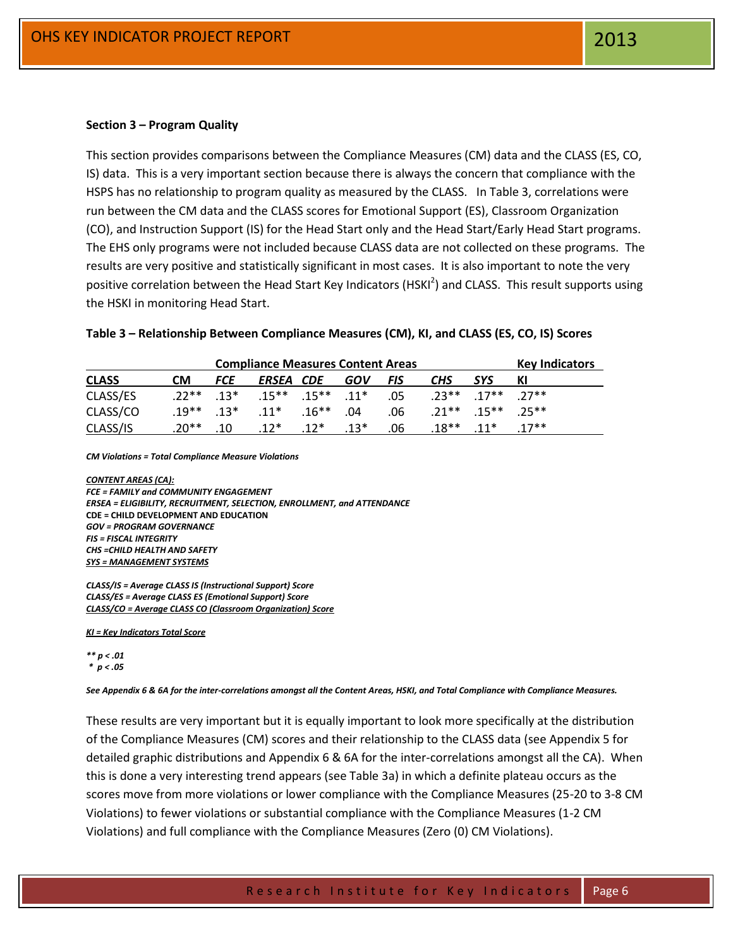#### **Section 3 – Program Quality**

This section provides comparisons between the Compliance Measures (CM) data and the CLASS (ES, CO, IS) data. This is a very important section because there is always the concern that compliance with the HSPS has no relationship to program quality as measured by the CLASS. In Table 3, correlations were run between the CM data and the CLASS scores for Emotional Support (ES), Classroom Organization (CO), and Instruction Support (IS) for the Head Start only and the Head Start/Early Head Start programs. The EHS only programs were not included because CLASS data are not collected on these programs. The results are very positive and statistically significant in most cases. It is also important to note the very positive correlation between the Head Start Key Indicators (HSKI<sup>2</sup>) and CLASS. This result supports using the HSKI in monitoring Head Start.

### **Table 3 – Relationship Between Compliance Measures (CM), KI, and CLASS (ES, CO, IS) Scores**

| <b>Compliance Measures Content Areas</b> |           |            |                                                       |  |            | <b>Key Indicators</b> |                         |                         |         |
|------------------------------------------|-----------|------------|-------------------------------------------------------|--|------------|-----------------------|-------------------------|-------------------------|---------|
| <b>CLASS</b>                             | <b>CM</b> | <i>FCE</i> | ERSEA CDE                                             |  | <b>GOV</b> | <b>FIS</b>            | <b>CHS</b>              | <b>SYS</b>              |         |
| CLASS/ES                                 |           |            | $.22^{***}$ $.13^{*}$ $.15^{**}$ $.15^{**}$ $.11^{*}$ |  |            | .05                   | $73***$ $17***$ $77***$ |                         |         |
| CLASS/CO                                 |           |            | $.19^{***}$ $.13^{*}$ $.11^{*}$ $.16^{***}$           |  | .04        | .06                   |                         | $21***$ $15***$ $25***$ |         |
| CLASS/IS                                 | .20** .10 |            | $.12^*$ $.12^*$                                       |  | $0.13*$    | .06                   | $.18***$ $.11*$         |                         | $17***$ |

*CM Violations = Total Compliance Measure Violations*

*CONTENT AREAS (CA): FCE = FAMILY and COMMUNITY ENGAGEMENT ERSEA = ELIGIBILITY, RECRUITMENT, SELECTION, ENROLLMENT, and ATTENDANCE* **CDE = CHILD DEVELOPMENT AND EDUCATION** *GOV = PROGRAM GOVERNANCE FIS = FISCAL INTEGRITY CHS =CHILD HEALTH AND SAFETY SYS = MANAGEMENT SYSTEMS*

*CLASS/IS = Average CLASS IS (Instructional Support) Score CLASS/ES = Average CLASS ES (Emotional Support) Score CLASS/CO = Average CLASS CO (Classroom Organization) Score*

*KI = Key Indicators Total Score*

#### *\*\* p < .01 \* p < .05*

*See Appendix 6 & 6A for the inter-correlations amongst all the Content Areas, HSKI, and Total Compliance with Compliance Measures.*

These results are very important but it is equally important to look more specifically at the distribution of the Compliance Measures (CM) scores and their relationship to the CLASS data (see Appendix 5 for detailed graphic distributions and Appendix 6 & 6A for the inter-correlations amongst all the CA). When this is done a very interesting trend appears (see Table 3a) in which a definite plateau occurs as the scores move from more violations or lower compliance with the Compliance Measures (25-20 to 3-8 CM Violations) to fewer violations or substantial compliance with the Compliance Measures (1-2 CM Violations) and full compliance with the Compliance Measures (Zero (0) CM Violations).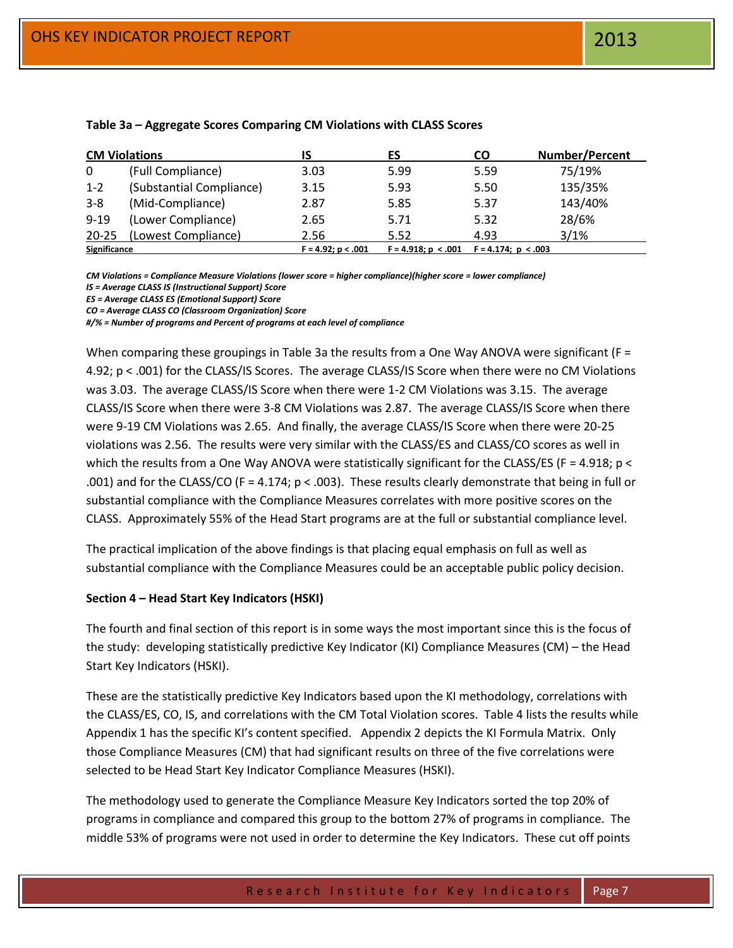|                     | <b>CM Violations</b>     |                      | ES                    | CO                     | <b>Number/Percent</b> |
|---------------------|--------------------------|----------------------|-----------------------|------------------------|-----------------------|
| $\Omega$            | (Full Compliance)        | 3.03                 | 5.99                  | 5.59                   | 75/19%                |
| $1 - 2$             | (Substantial Compliance) | 3.15                 | 5.93                  | 5.50                   | 135/35%               |
| $3 - 8$             | (Mid-Compliance)         | 2.87                 | 5.85                  | 5.37                   | 143/40%               |
| $9 - 19$            | (Lower Compliance)       | 2.65                 | 5.71                  | 5.32                   | 28/6%                 |
| $20 - 25$           | (Lowest Compliance)      | 2.56                 | 5.52                  | 4.93                   | 3/1%                  |
| <b>Significance</b> |                          | $F = 4.92; p < .001$ | $F = 4.918; p < .001$ | $F = 4.174$ : p < .003 |                       |

# **Table 3a – Aggregate Scores Comparing CM Violations with CLASS Scores**

*CM Violations = Compliance Measure Violations (lower score = higher compliance)(higher score = lower compliance)* 

*IS = Average CLASS IS (Instructional Support) Score*

*ES = Average CLASS ES (Emotional Support) Score*

*CO = Average CLASS CO (Classroom Organization) Score*

*#/% = Number of programs and Percent of programs at each level of compliance*

When comparing these groupings in Table 3a the results from a One Way ANOVA were significant (F = 4.92; p < .001) for the CLASS/IS Scores. The average CLASS/IS Score when there were no CM Violations was 3.03. The average CLASS/IS Score when there were 1-2 CM Violations was 3.15. The average CLASS/IS Score when there were 3-8 CM Violations was 2.87. The average CLASS/IS Score when there were 9-19 CM Violations was 2.65. And finally, the average CLASS/IS Score when there were 20-25 violations was 2.56. The results were very similar with the CLASS/ES and CLASS/CO scores as well in which the results from a One Way ANOVA were statistically significant for the CLASS/ES (F = 4.918; p < .001) and for the CLASS/CO (F = 4.174;  $p < .003$ ). These results clearly demonstrate that being in full or substantial compliance with the Compliance Measures correlates with more positive scores on the CLASS. Approximately 55% of the Head Start programs are at the full or substantial compliance level.

The practical implication of the above findings is that placing equal emphasis on full as well as substantial compliance with the Compliance Measures could be an acceptable public policy decision.

# **Section 4 – Head Start Key Indicators (HSKI)**

The fourth and final section of this report is in some ways the most important since this is the focus of the study: developing statistically predictive Key Indicator (KI) Compliance Measures (CM) – the Head Start Key Indicators (HSKI).

These are the statistically predictive Key Indicators based upon the KI methodology, correlations with the CLASS/ES, CO, IS, and correlations with the CM Total Violation scores. Table 4 lists the results while Appendix 1 has the specific KI's content specified. Appendix 2 depicts the KI Formula Matrix. Only those Compliance Measures (CM) that had significant results on three of the five correlations were selected to be Head Start Key Indicator Compliance Measures (HSKI).

The methodology used to generate the Compliance Measure Key Indicators sorted the top 20% of programs in compliance and compared this group to the bottom 27% of programs in compliance. The middle 53% of programs were not used in order to determine the Key Indicators. These cut off points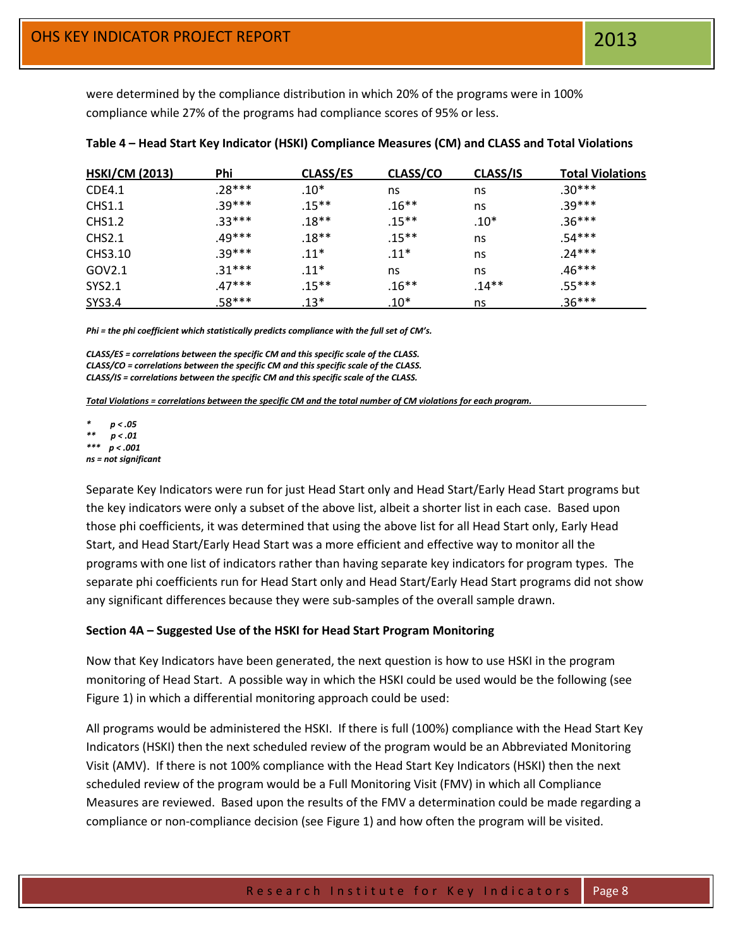were determined by the compliance distribution in which 20% of the programs were in 100% compliance while 27% of the programs had compliance scores of 95% or less.

| <b>HSKI/CM (2013)</b> | Phi      | <b>CLASS/ES</b> | CLASS/CO | CLASS/IS | <b>Total Violations</b> |
|-----------------------|----------|-----------------|----------|----------|-------------------------|
| CDE4.1                | .28***   | $.10*$          | ns       | ns       | $.30***$                |
| <b>CHS1.1</b>         | $.39***$ | $.15***$        | $.16***$ | ns       | $.39***$                |
| <b>CHS1.2</b>         | $.33***$ | $.18**$         | $.15***$ | $.10*$   | $.36***$                |
| CHS2.1                | .49***   | .18**           | $.15***$ | ns       | $.54***$                |
| CHS3.10               | $.39***$ | $.11*$          | $.11*$   | ns       | $.24***$                |
| GOV2.1                | $.31***$ | $.11*$          | ns       | ns       | $.46***$                |
| <b>SYS2.1</b>         | $.47***$ | $.15***$        | $.16***$ | $.14**$  | $.55***$                |
| <b>SYS3.4</b>         | $.58***$ | $.13*$          | $.10*$   | ns       | $.36***$                |

*Phi = the phi coefficient which statistically predicts compliance with the full set of CM's.*

*CLASS/ES = correlations between the specific CM and this specific scale of the CLASS. CLASS/CO = correlations between the specific CM and this specific scale of the CLASS. CLASS/IS = correlations between the specific CM and this specific scale of the CLASS.*

*Total Violations = correlations between the specific CM and the total number of CM violations for each program.*

*\* p < .05 \*\* p < .01 \*\*\* p < .001 ns = not significant* 

Separate Key Indicators were run for just Head Start only and Head Start/Early Head Start programs but the key indicators were only a subset of the above list, albeit a shorter list in each case. Based upon those phi coefficients, it was determined that using the above list for all Head Start only, Early Head Start, and Head Start/Early Head Start was a more efficient and effective way to monitor all the programs with one list of indicators rather than having separate key indicators for program types. The separate phi coefficients run for Head Start only and Head Start/Early Head Start programs did not show any significant differences because they were sub-samples of the overall sample drawn.

# **Section 4A – Suggested Use of the HSKI for Head Start Program Monitoring**

Now that Key Indicators have been generated, the next question is how to use HSKI in the program monitoring of Head Start. A possible way in which the HSKI could be used would be the following (see Figure 1) in which a differential monitoring approach could be used:

All programs would be administered the HSKI. If there is full (100%) compliance with the Head Start Key Indicators (HSKI) then the next scheduled review of the program would be an Abbreviated Monitoring Visit (AMV). If there is not 100% compliance with the Head Start Key Indicators (HSKI) then the next scheduled review of the program would be a Full Monitoring Visit (FMV) in which all Compliance Measures are reviewed. Based upon the results of the FMV a determination could be made regarding a compliance or non-compliance decision (see Figure 1) and how often the program will be visited.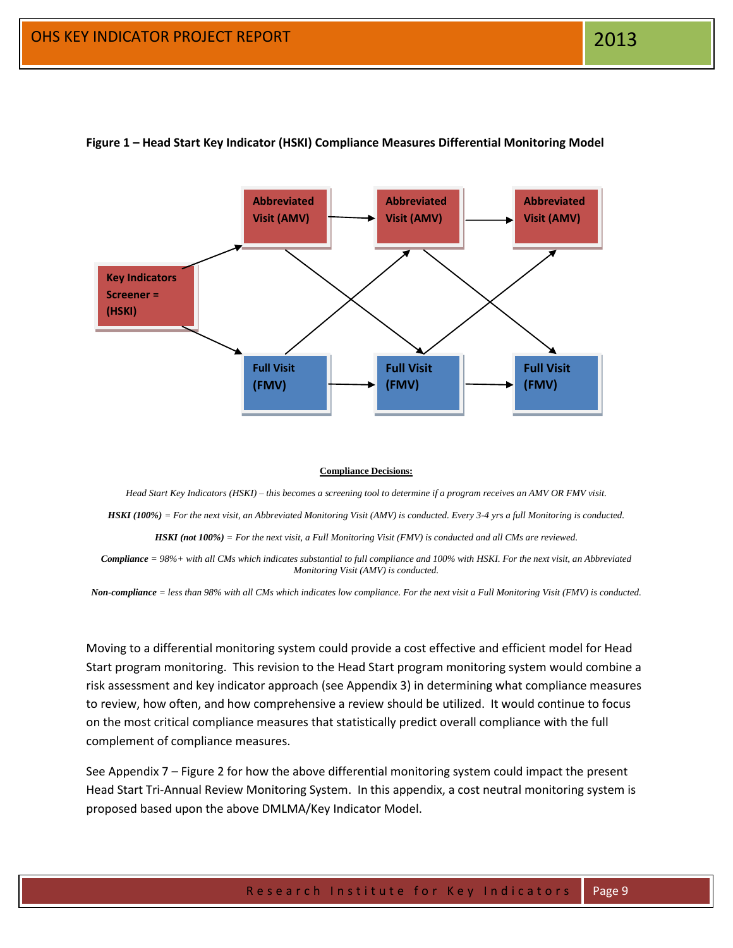

### **Figure 1 – Head Start Key Indicator (HSKI) Compliance Measures Differential Monitoring Model**

#### **Compliance Decisions:**

*Head Start Key Indicators (HSKI) – this becomes a screening tool to determine if a program receives an AMV OR FMV visit. HSKI (100%) = For the next visit, an Abbreviated Monitoring Visit (AMV) is conducted. Every 3-4 yrs a full Monitoring is conducted. HSKI (not 100%) = For the next visit, a Full Monitoring Visit (FMV) is conducted and all CMs are reviewed.*

*Compliance = 98%+ with all CMs which indicates substantial to full compliance and 100% with HSKI. For the next visit, an Abbreviated Monitoring Visit (AMV) is conducted.*

*Non-compliance = less than 98% with all CMs which indicates low compliance. For the next visit a Full Monitoring Visit (FMV) is conducted.*

Moving to a differential monitoring system could provide a cost effective and efficient model for Head Start program monitoring. This revision to the Head Start program monitoring system would combine a risk assessment and key indicator approach (see Appendix 3) in determining what compliance measures to review, how often, and how comprehensive a review should be utilized. It would continue to focus on the most critical compliance measures that statistically predict overall compliance with the full complement of compliance measures.

See Appendix 7 – Figure 2 for how the above differential monitoring system could impact the present Head Start Tri-Annual Review Monitoring System. In this appendix, a cost neutral monitoring system is proposed based upon the above DMLMA/Key Indicator Model.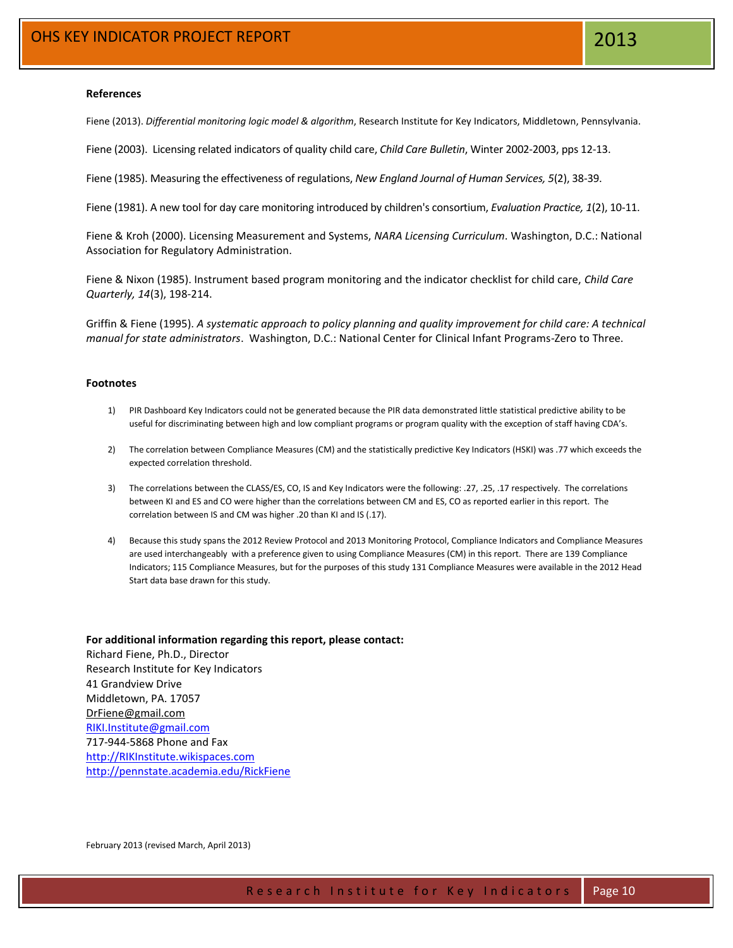#### **References**

Fiene (2013). *Differential monitoring logic model & algorithm*, Research Institute for Key Indicators, Middletown, Pennsylvania.

Fiene (2003). Licensing related indicators of quality child care, *Child Care Bulletin*, Winter 2002-2003, pps 12-13.

Fiene (1985). Measuring the effectiveness of regulations, *New England Journal of Human Services, 5*(2), 38-39.

Fiene (1981). A new tool for day care monitoring introduced by children's consortium, *Evaluation Practice, 1*(2), 10-11.

Fiene & Kroh (2000). Licensing Measurement and Systems, *NARA Licensing Curriculum*. Washington, D.C.: National Association for Regulatory Administration.

Fiene & Nixon (1985). Instrument based program monitoring and the indicator checklist for child care, *Child Care Quarterly, 14*(3), 198-214.

Griffin & Fiene (1995). *A systematic approach to policy planning and quality improvement for child care: A technical manual for state administrators*. Washington, D.C.: National Center for Clinical Infant Programs-Zero to Three.

#### **Footnotes**

- 1) PIR Dashboard Key Indicators could not be generated because the PIR data demonstrated little statistical predictive ability to be useful for discriminating between high and low compliant programs or program quality with the exception of staff having CDA's.
- 2) The correlation between Compliance Measures (CM) and the statistically predictive Key Indicators (HSKI) was .77 which exceeds the expected correlation threshold.
- 3) The correlations between the CLASS/ES, CO, IS and Key Indicators were the following: .27, .25, .17 respectively. The correlations between KI and ES and CO were higher than the correlations between CM and ES, CO as reported earlier in this report. The correlation between IS and CM was higher .20 than KI and IS (.17).
- 4) Because this study spans the 2012 Review Protocol and 2013 Monitoring Protocol, Compliance Indicators and Compliance Measures are used interchangeably with a preference given to using Compliance Measures (CM) in this report. There are 139 Compliance Indicators; 115 Compliance Measures, but for the purposes of this study 131 Compliance Measures were available in the 2012 Head Start data base drawn for this study.

**For additional information regarding this report, please contact:** Richard Fiene, Ph.D., Director Research Institute for Key Indicators 41 Grandview Drive Middletown, PA. 17057 [DrFiene@gmail.com](mailto:DrFiene@gmail.com) [RIKI.Institute@gmail.com](mailto:RIKI.Institute@gmail.com) 717-944-5868 Phone and Fax [http://RIKInstitute.wikispaces.com](http://rikinstitute.wikispaces.com/) <http://pennstate.academia.edu/RickFiene>

February 2013 (revised March, April 2013)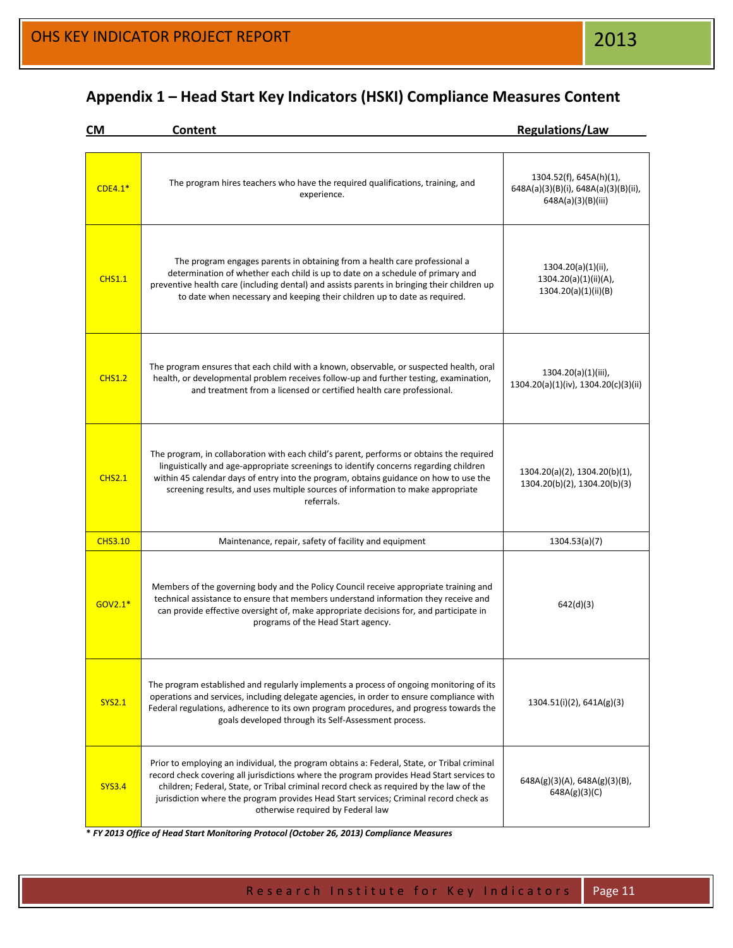**Appendix 1 – Head Start Key Indicators (HSKI) Compliance Measures Content**

| <b>CM</b>      | Content                                                                                                                                                                                                                                                                                                                                                                                                           | <b>Regulations/Law</b>                                                                |
|----------------|-------------------------------------------------------------------------------------------------------------------------------------------------------------------------------------------------------------------------------------------------------------------------------------------------------------------------------------------------------------------------------------------------------------------|---------------------------------------------------------------------------------------|
| $CDE4.1*$      | The program hires teachers who have the required qualifications, training, and<br>experience.                                                                                                                                                                                                                                                                                                                     | 1304.52(f), 645A(h)(1),<br>648A(a)(3)(B)(i), 648A(a)(3)(B)(ii),<br>648A(a)(3)(B)(iii) |
| <b>CHS1.1</b>  | The program engages parents in obtaining from a health care professional a<br>determination of whether each child is up to date on a schedule of primary and<br>preventive health care (including dental) and assists parents in bringing their children up<br>to date when necessary and keeping their children up to date as required.                                                                          | $1304.20(a)(1)(ii)$ ,<br>1304.20(a)(1)(ii)(A),<br>1304.20(a)(1)(ii)(B)                |
| <b>CHS1.2</b>  | The program ensures that each child with a known, observable, or suspected health, oral<br>health, or developmental problem receives follow-up and further testing, examination,<br>and treatment from a licensed or certified health care professional.                                                                                                                                                          | 1304.20(a)(1)(iii),<br>1304.20(a)(1)(iv), 1304.20(c)(3)(ii)                           |
| <b>CHS2.1</b>  | The program, in collaboration with each child's parent, performs or obtains the required<br>linguistically and age-appropriate screenings to identify concerns regarding children<br>within 45 calendar days of entry into the program, obtains guidance on how to use the<br>screening results, and uses multiple sources of information to make appropriate<br>referrals.                                       | 1304.20(a)(2), 1304.20(b)(1),<br>1304.20(b)(2), 1304.20(b)(3)                         |
| <b>CHS3.10</b> | Maintenance, repair, safety of facility and equipment                                                                                                                                                                                                                                                                                                                                                             | 1304.53(a)(7)                                                                         |
| GOV2.1*        | Members of the governing body and the Policy Council receive appropriate training and<br>technical assistance to ensure that members understand information they receive and<br>can provide effective oversight of, make appropriate decisions for, and participate in<br>programs of the Head Start agency.                                                                                                      | 642(d)(3)                                                                             |
| <b>SYS2.1</b>  | The program established and regularly implements a process of ongoing monitoring of its<br>operations and services, including delegate agencies, in order to ensure compliance with<br>Federal regulations, adherence to its own program procedures, and progress towards the<br>goals developed through its Self-Assessment process.                                                                             | $1304.51(i)(2)$ , 641A(g)(3)                                                          |
| <b>SYS3.4</b>  | Prior to employing an individual, the program obtains a: Federal, State, or Tribal criminal<br>record check covering all jurisdictions where the program provides Head Start services to<br>children; Federal, State, or Tribal criminal record check as required by the law of the<br>jurisdiction where the program provides Head Start services; Criminal record check as<br>otherwise required by Federal law | $648A(g)(3)(A)$ , 648A(g)(3)(B),<br>648A(g)(3)(C)                                     |

**\*** *FY 2013 Office of Head Start Monitoring Protocol (October 26, 2013) Compliance Measures*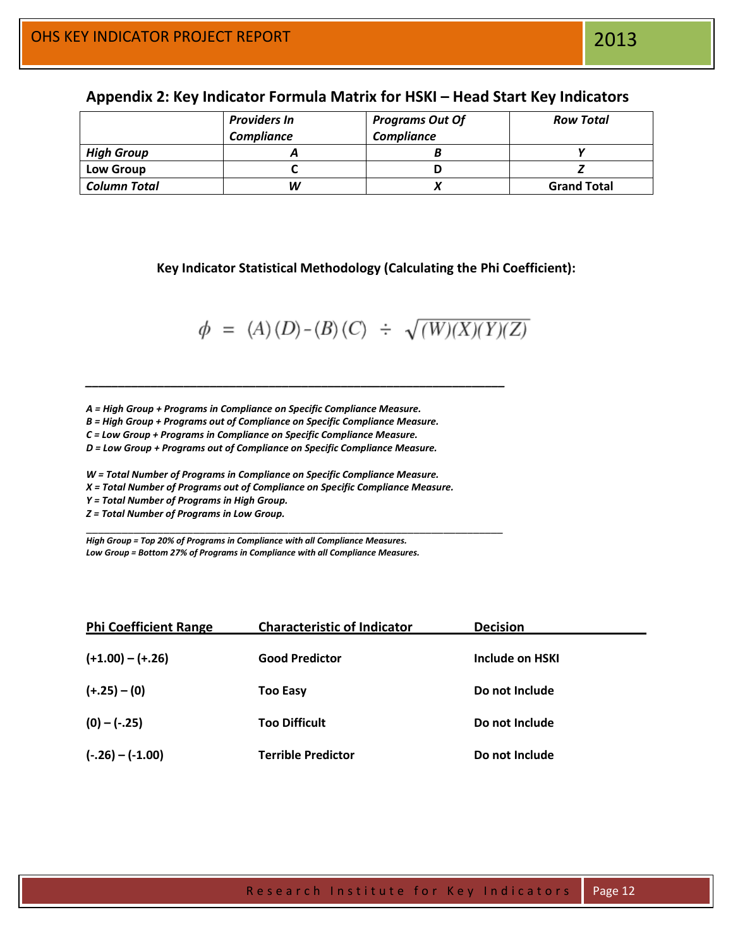|                     | <b>Providers In</b> | <b>Programs Out Of</b> | <b>Row Total</b>   |
|---------------------|---------------------|------------------------|--------------------|
|                     | <b>Compliance</b>   | <b>Compliance</b>      |                    |
| <b>High Group</b>   |                     |                        |                    |
| <b>Low Group</b>    |                     |                        |                    |
| <b>Column Total</b> | W                   |                        | <b>Grand Total</b> |

# **Appendix 2: Key Indicator Formula Matrix for HSKI – Head Start Key Indicators**

**Key Indicator Statistical Methodology (Calculating the Phi Coefficient):**

$$
\phi = (A)(D) - (B)(C) \div \sqrt{(W)(X)(Y)(Z)}
$$

*A = High Group + Programs in Compliance on Specific Compliance Measure.*

*B = High Group + Programs out of Compliance on Specific Compliance Measure.*

*\_\_\_\_\_\_\_\_\_\_\_\_\_\_\_\_\_\_\_\_\_\_\_\_\_\_\_\_\_\_\_\_\_\_\_\_\_\_\_\_\_\_\_\_\_\_\_\_\_\_\_\_\_\_\_\_\_\_\_\_\_\_\_\_*

\_\_\_\_\_\_\_\_\_\_\_\_\_\_\_\_\_\_\_\_\_\_\_\_\_\_\_\_\_\_\_\_\_\_\_\_\_\_\_\_\_\_\_\_\_\_\_\_\_\_\_\_\_\_\_\_\_\_\_\_\_\_\_\_\_\_\_\_\_\_

*C = Low Group + Programs in Compliance on Specific Compliance Measure.*

*D = Low Group + Programs out of Compliance on Specific Compliance Measure.*

*W = Total Number of Programs in Compliance on Specific Compliance Measure.*

*X = Total Number of Programs out of Compliance on Specific Compliance Measure.*

*Y = Total Number of Programs in High Group.*

*Z = Total Number of Programs in Low Group.*

*High Group = Top 20% of Programs in Compliance with all Compliance Measures. Low Group = Bottom 27% of Programs in Compliance with all Compliance Measures.*

| <b>Phi Coefficient Range</b> | <b>Characteristic of Indicator</b> | <b>Decision</b> |  |
|------------------------------|------------------------------------|-----------------|--|
| $(+1.00) - (+.26)$           | <b>Good Predictor</b>              | Include on HSKI |  |
| $(+.25) - (0)$               | <b>Too Easy</b>                    | Do not Include  |  |
| $(0) - (-.25)$               | <b>Too Difficult</b>               | Do not Include  |  |
| $(-.26) - (-1.00)$           | <b>Terrible Predictor</b>          | Do not Include  |  |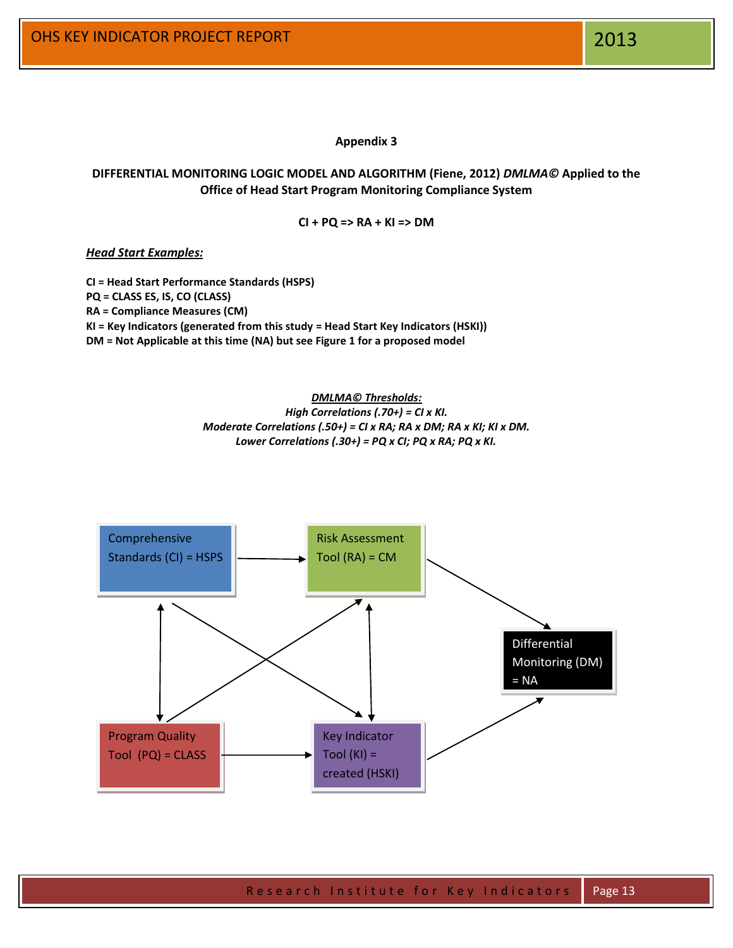**Appendix 3**

# **DIFFERENTIAL MONITORING LOGIC MODEL AND ALGORITHM (Fiene, 2012)** *DMLMA©* **Applied to the Office of Head Start Program Monitoring Compliance System**

**CI + PQ => RA + KI => DM**

*Head Start Examples:*

**CI = Head Start Performance Standards (HSPS) PQ = CLASS ES, IS, CO (CLASS) RA = Compliance Measures (CM) KI = Key Indicators (generated from this study = Head Start Key Indicators (HSKI)) DM = Not Applicable at this time (NA) but see Figure 1 for a proposed model**

> *DMLMA© Thresholds: High Correlations (.70+) = CI x KI. Moderate Correlations (.50+) = CI x RA; RA x DM; RA x KI; KI x DM. Lower Correlations (.30+) = PQ x CI; PQ x RA; PQ x KI.*

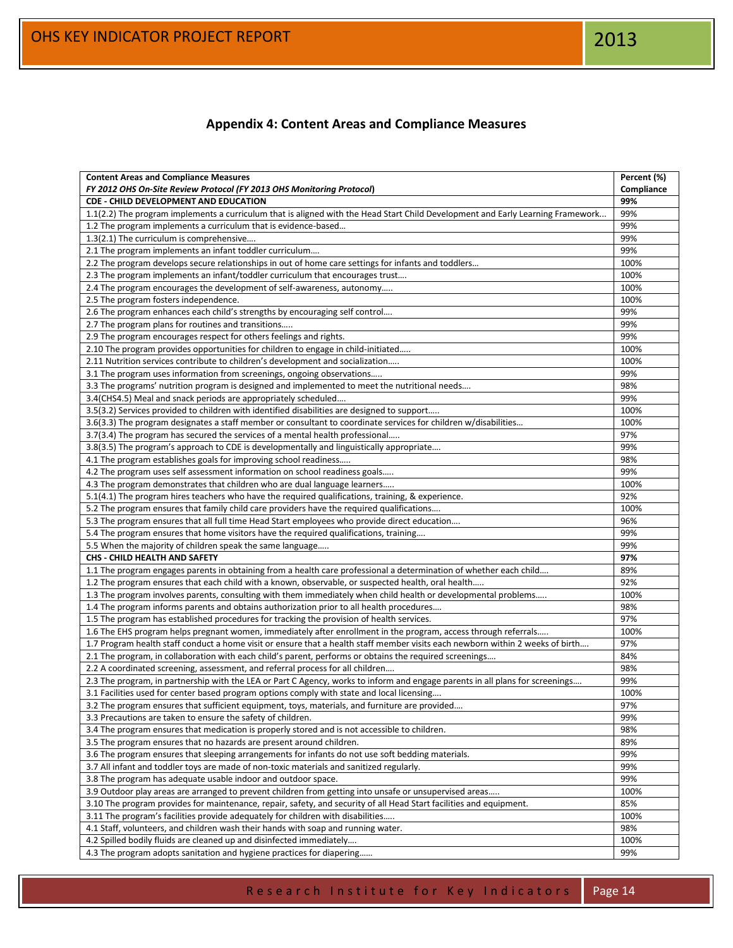# **Appendix 4: Content Areas and Compliance Measures**

| <b>Content Areas and Compliance Measures</b>                                                                                    | Percent (%) |
|---------------------------------------------------------------------------------------------------------------------------------|-------------|
| FY 2012 OHS On-Site Review Protocol (FY 2013 OHS Monitoring Protocol)                                                           | Compliance  |
| CDE - CHILD DEVELOPMENT AND EDUCATION                                                                                           | 99%         |
| 1.1(2.2) The program implements a curriculum that is aligned with the Head Start Child Development and Early Learning Framework | 99%         |
| 1.2 The program implements a curriculum that is evidence-based                                                                  | 99%         |
| 1.3(2.1) The curriculum is comprehensive                                                                                        | 99%         |
| 2.1 The program implements an infant toddler curriculum                                                                         | 99%         |
| 2.2 The program develops secure relationships in out of home care settings for infants and toddlers                             | 100%        |
| 2.3 The program implements an infant/toddler curriculum that encourages trust                                                   | 100%        |
| 2.4 The program encourages the development of self-awareness, autonomy                                                          | 100%        |
| 2.5 The program fosters independence.                                                                                           | 100%        |
| 2.6 The program enhances each child's strengths by encouraging self control                                                     | 99%         |
| 2.7 The program plans for routines and transitions                                                                              | 99%         |
| 2.9 The program encourages respect for others feelings and rights.                                                              | 99%         |
| 2.10 The program provides opportunities for children to engage in child-initiated                                               | 100%        |
| 2.11 Nutrition services contribute to children's development and socialization                                                  | 100%        |
| 3.1 The program uses information from screenings, ongoing observations                                                          | 99%         |
| 3.3 The programs' nutrition program is designed and implemented to meet the nutritional needs                                   | 98%         |
| 3.4(CHS4.5) Meal and snack periods are appropriately scheduled                                                                  | 99%         |
| 3.5(3.2) Services provided to children with identified disabilities are designed to support                                     | 100%        |
| 3.6(3.3) The program designates a staff member or consultant to coordinate services for children w/disabilities                 | 100%        |
| 3.7(3.4) The program has secured the services of a mental health professional                                                   | 97%         |
| 3.8(3.5) The program's approach to CDE is developmentally and linguistically appropriate                                        | 99%         |
| 4.1 The program establishes goals for improving school readiness                                                                | 98%         |
| 4.2 The program uses self assessment information on school readiness goals                                                      | 99%         |
| 4.3 The program demonstrates that children who are dual language learners                                                       | 100%        |
| 5.1(4.1) The program hires teachers who have the required qualifications, training, & experience.                               | 92%         |
| 5.2 The program ensures that family child care providers have the required qualifications                                       | 100%        |
| 5.3 The program ensures that all full time Head Start employees who provide direct education                                    | 96%         |
| 5.4 The program ensures that home visitors have the required qualifications, training                                           | 99%         |
| 5.5 When the majority of children speak the same language                                                                       | 99%         |
| CHS - CHILD HEALTH AND SAFETY                                                                                                   | 97%         |
| 1.1 The program engages parents in obtaining from a health care professional a determination of whether each child              | 89%         |
| 1.2 The program ensures that each child with a known, observable, or suspected health, oral health                              | 92%         |
| 1.3 The program involves parents, consulting with them immediately when child health or developmental problems                  | 100%        |
| 1.4 The program informs parents and obtains authorization prior to all health procedures                                        | 98%         |
| 1.5 The program has established procedures for tracking the provision of health services.                                       | 97%         |
| 1.6 The EHS program helps pregnant women, immediately after enrollment in the program, access through referrals                 | 100%        |
| 1.7 Program health staff conduct a home visit or ensure that a health staff member visits each newborn within 2 weeks of birth  | 97%         |
| 2.1 The program, in collaboration with each child's parent, performs or obtains the required screenings                         | 84%         |
| 2.2 A coordinated screening, assessment, and referral process for all children                                                  | 98%         |
| 2.3 The program, in partnership with the LEA or Part C Agency, works to inform and engage parents in all plans for screenings   | 99%         |
| 3.1 Facilities used for center based program options comply with state and local licensing                                      | 100%        |
| 3.2 The program ensures that sufficient equipment, toys, materials, and furniture are provided.                                 | 97%         |
| 3.3 Precautions are taken to ensure the safety of children.                                                                     | 99%         |
| 3.4 The program ensures that medication is properly stored and is not accessible to children.                                   | 98%         |
| 3.5 The program ensures that no hazards are present around children.                                                            | 89%         |
| 3.6 The program ensures that sleeping arrangements for infants do not use soft bedding materials.                               | 99%         |
| 3.7 All infant and toddler toys are made of non-toxic materials and sanitized regularly.                                        | 99%         |
| 3.8 The program has adequate usable indoor and outdoor space.                                                                   | 99%         |
| 3.9 Outdoor play areas are arranged to prevent children from getting into unsafe or unsupervised areas                          | 100%        |
| 3.10 The program provides for maintenance, repair, safety, and security of all Head Start facilities and equipment.             | 85%         |
| 3.11 The program's facilities provide adequately for children with disabilities                                                 | 100%        |
| 4.1 Staff, volunteers, and children wash their hands with soap and running water.                                               | 98%         |
| 4.2 Spilled bodily fluids are cleaned up and disinfected immediately                                                            | 100%        |
| 4.3 The program adopts sanitation and hygiene practices for diapering                                                           | 99%         |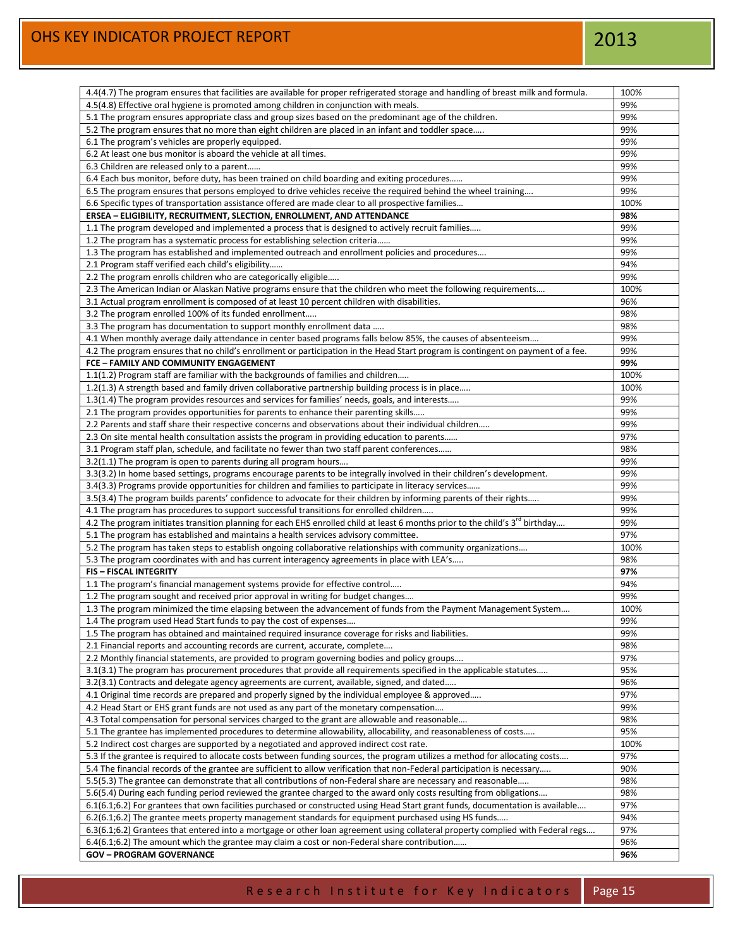| 4.4(4.7) The program ensures that facilities are available for proper refrigerated storage and handling of breast milk and formula.                                                                                      | 100%        |
|--------------------------------------------------------------------------------------------------------------------------------------------------------------------------------------------------------------------------|-------------|
| 4.5(4.8) Effective oral hygiene is promoted among children in conjunction with meals.                                                                                                                                    | 99%         |
| 5.1 The program ensures appropriate class and group sizes based on the predominant age of the children.                                                                                                                  | 99%         |
| 5.2 The program ensures that no more than eight children are placed in an infant and toddler space                                                                                                                       | 99%         |
| 6.1 The program's vehicles are properly equipped.                                                                                                                                                                        | 99%         |
| 6.2 At least one bus monitor is aboard the vehicle at all times.                                                                                                                                                         | 99%         |
| 6.3 Children are released only to a parent                                                                                                                                                                               | 99%         |
| 6.4 Each bus monitor, before duty, has been trained on child boarding and exiting procedures                                                                                                                             | 99%         |
| 6.5 The program ensures that persons employed to drive vehicles receive the required behind the wheel training                                                                                                           | 99%         |
| 6.6 Specific types of transportation assistance offered are made clear to all prospective families                                                                                                                       | 100%        |
| ERSEA - ELIGIBILITY, RECRUITMENT, SLECTION, ENROLLMENT, AND ATTENDANCE                                                                                                                                                   | 98%         |
|                                                                                                                                                                                                                          |             |
| 1.1 The program developed and implemented a process that is designed to actively recruit families                                                                                                                        | 99%         |
| 1.2 The program has a systematic process for establishing selection criteria                                                                                                                                             | 99%         |
| 1.3 The program has established and implemented outreach and enrollment policies and procedures                                                                                                                          | 99%         |
| 2.1 Program staff verified each child's eligibility                                                                                                                                                                      | 94%         |
| 2.2 The program enrolls children who are categorically eligible                                                                                                                                                          | 99%         |
| 2.3 The American Indian or Alaskan Native programs ensure that the children who meet the following requirements                                                                                                          | 100%        |
| 3.1 Actual program enrollment is composed of at least 10 percent children with disabilities.                                                                                                                             | 96%         |
| 3.2 The program enrolled 100% of its funded enrollment                                                                                                                                                                   | 98%         |
| 3.3 The program has documentation to support monthly enrollment data                                                                                                                                                     | 98%         |
| 4.1 When monthly average daily attendance in center based programs falls below 85%, the causes of absenteeism                                                                                                            | 99%         |
| 4.2 The program ensures that no child's enrollment or participation in the Head Start program is contingent on payment of a fee.                                                                                         | 99%         |
| FCE - FAMILY AND COMMUNITY ENGAGEMENT                                                                                                                                                                                    | 99%         |
| 1.1(1.2) Program staff are familiar with the backgrounds of families and children                                                                                                                                        | 100%        |
| 1.2(1.3) A strength based and family driven collaborative partnership building process is in place                                                                                                                       | 100%        |
| 1.3(1.4) The program provides resources and services for families' needs, goals, and interests                                                                                                                           | 99%         |
| 2.1 The program provides opportunities for parents to enhance their parenting skills                                                                                                                                     | 99%         |
| 2.2 Parents and staff share their respective concerns and observations about their individual children                                                                                                                   | 99%         |
| 2.3 On site mental health consultation assists the program in providing education to parents                                                                                                                             | 97%         |
| 3.1 Program staff plan, schedule, and facilitate no fewer than two staff parent conferences                                                                                                                              | 98%         |
| 3.2(1.1) The program is open to parents during all program hours                                                                                                                                                         | 99%         |
| 3.3(3.2) In home based settings, programs encourage parents to be integrally involved in their children's development.                                                                                                   | 99%         |
|                                                                                                                                                                                                                          |             |
| 3.4(3.3) Programs provide opportunities for children and families to participate in literacy services                                                                                                                    | 99%         |
| 3.5(3.4) The program builds parents' confidence to advocate for their children by informing parents of their rights                                                                                                      | 99%         |
| 4.1 The program has procedures to support successful transitions for enrolled children                                                                                                                                   | 99%         |
| 4.2 The program initiates transition planning for each EHS enrolled child at least 6 months prior to the child's 3 <sup>rd</sup> birthday                                                                                | 99%         |
| 5.1 The program has established and maintains a health services advisory committee.                                                                                                                                      | 97%         |
| 5.2 The program has taken steps to establish ongoing collaborative relationships with community organizations                                                                                                            | 100%        |
| 5.3 The program coordinates with and has current interagency agreements in place with LEA's                                                                                                                              | 98%         |
| <b>FIS-FISCAL INTEGRITY</b>                                                                                                                                                                                              | 97%         |
| 1.1 The program's financial management systems provide for effective control                                                                                                                                             | 94%         |
| 1.2 The program sought and received prior approval in writing for budget changes                                                                                                                                         | 99%         |
| 1.3 The program minimized the time elapsing between the advancement of funds from the Payment Management System                                                                                                          | 100%        |
| 1.4 The program used Head Start funds to pay the cost of expenses                                                                                                                                                        | 99%         |
| 1.5 The program has obtained and maintained required insurance coverage for risks and liabilities.                                                                                                                       | 99%         |
| 2.1 Financial reports and accounting records are current, accurate, complete                                                                                                                                             | 98%         |
| 2.2 Monthly financial statements, are provided to program governing bodies and policy groups                                                                                                                             | 97%         |
| 3.1(3.1) The program has procurement procedures that provide all requirements specified in the applicable statutes                                                                                                       | 95%         |
| 3.2(3.1) Contracts and delegate agency agreements are current, available, signed, and dated                                                                                                                              | 96%         |
| 4.1 Original time records are prepared and properly signed by the individual employee & approved                                                                                                                         | 97%         |
| 4.2 Head Start or EHS grant funds are not used as any part of the monetary compensation                                                                                                                                  | 99%         |
| 4.3 Total compensation for personal services charged to the grant are allowable and reasonable                                                                                                                           | 98%         |
| 5.1 The grantee has implemented procedures to determine allowability, allocability, and reasonableness of costs                                                                                                          | 95%         |
|                                                                                                                                                                                                                          |             |
| 5.2 Indirect cost charges are supported by a negotiated and approved indirect cost rate.<br>5.3 If the grantee is required to allocate costs between funding sources, the program utilizes a method for allocating costs | 100%<br>97% |
|                                                                                                                                                                                                                          |             |
| 5.4 The financial records of the grantee are sufficient to allow verification that non-Federal participation is necessary                                                                                                | 90%         |
| 5.5(5.3) The grantee can demonstrate that all contributions of non-Federal share are necessary and reasonable                                                                                                            | 98%         |
| 5.6(5.4) During each funding period reviewed the grantee charged to the award only costs resulting from obligations                                                                                                      | 98%         |
| 6.1(6.1;6.2) For grantees that own facilities purchased or constructed using Head Start grant funds, documentation is available                                                                                          | 97%         |
| 6.2(6.1;6.2) The grantee meets property management standards for equipment purchased using HS funds                                                                                                                      | 94%         |
| 6.3(6.1;6.2) Grantees that entered into a mortgage or other loan agreement using collateral property complied with Federal regs                                                                                          | 97%         |
| 6.4(6.1;6.2) The amount which the grantee may claim a cost or non-Federal share contribution                                                                                                                             | 96%         |
| <b>GOV-PROGRAM GOVERNANCE</b>                                                                                                                                                                                            | 96%         |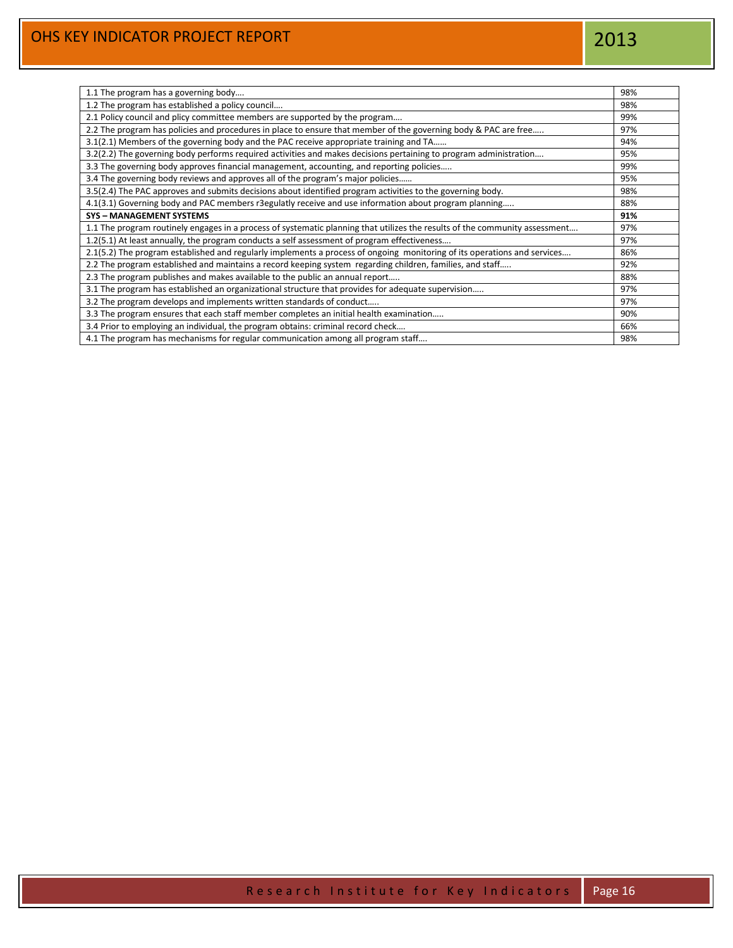| 1.1 The program has a governing body                                                                                        | 98% |
|-----------------------------------------------------------------------------------------------------------------------------|-----|
| 1.2 The program has established a policy council                                                                            | 98% |
| 2.1 Policy council and plicy committee members are supported by the program                                                 | 99% |
| 2.2 The program has policies and procedures in place to ensure that member of the governing body & PAC are free             | 97% |
| 3.1(2.1) Members of the governing body and the PAC receive appropriate training and TA                                      | 94% |
| 3.2(2.2) The governing body performs required activities and makes decisions pertaining to program administration           | 95% |
| 3.3 The governing body approves financial management, accounting, and reporting policies                                    | 99% |
| 3.4 The governing body reviews and approves all of the program's major policies                                             | 95% |
| 3.5(2.4) The PAC approves and submits decisions about identified program activities to the governing body.                  | 98% |
| 4.1(3.1) Governing body and PAC members r3egulatly receive and use information about program planning                       | 88% |
| <b>SYS - MANAGEMENT SYSTEMS</b>                                                                                             | 91% |
| 1.1 The program routinely engages in a process of systematic planning that utilizes the results of the community assessment | 97% |
| 1.2(5.1) At least annually, the program conducts a self assessment of program effectiveness                                 | 97% |
| 2.1(5.2) The program established and regularly implements a process of ongoing monitoring of its operations and services    | 86% |
| 2.2 The program established and maintains a record keeping system regarding children, families, and staff                   | 92% |
| 2.3 The program publishes and makes available to the public an annual report                                                | 88% |
| 3.1 The program has established an organizational structure that provides for adequate supervision                          | 97% |
| 3.2 The program develops and implements written standards of conduct                                                        | 97% |
| 3.3 The program ensures that each staff member completes an initial health examination                                      | 90% |
| 3.4 Prior to employing an individual, the program obtains: criminal record check                                            | 66% |
| 4.1 The program has mechanisms for regular communication among all program staff                                            | 98% |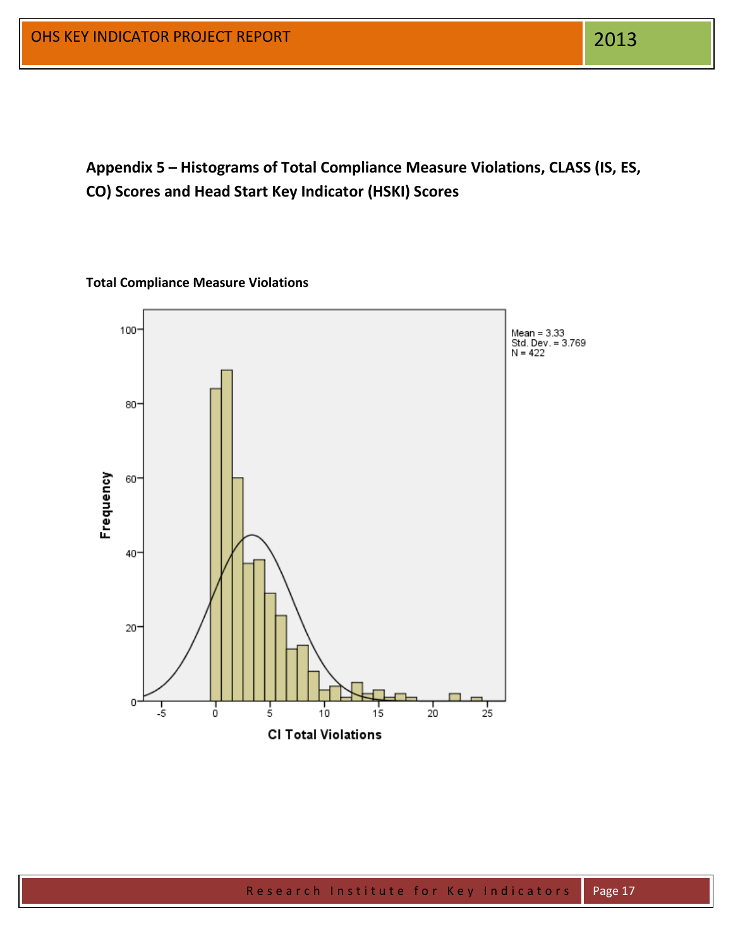**Appendix 5 – Histograms of Total Compliance Measure Violations, CLASS (IS, ES, CO) Scores and Head Start Key Indicator (HSKI) Scores**

# **Total Compliance Measure Violations**

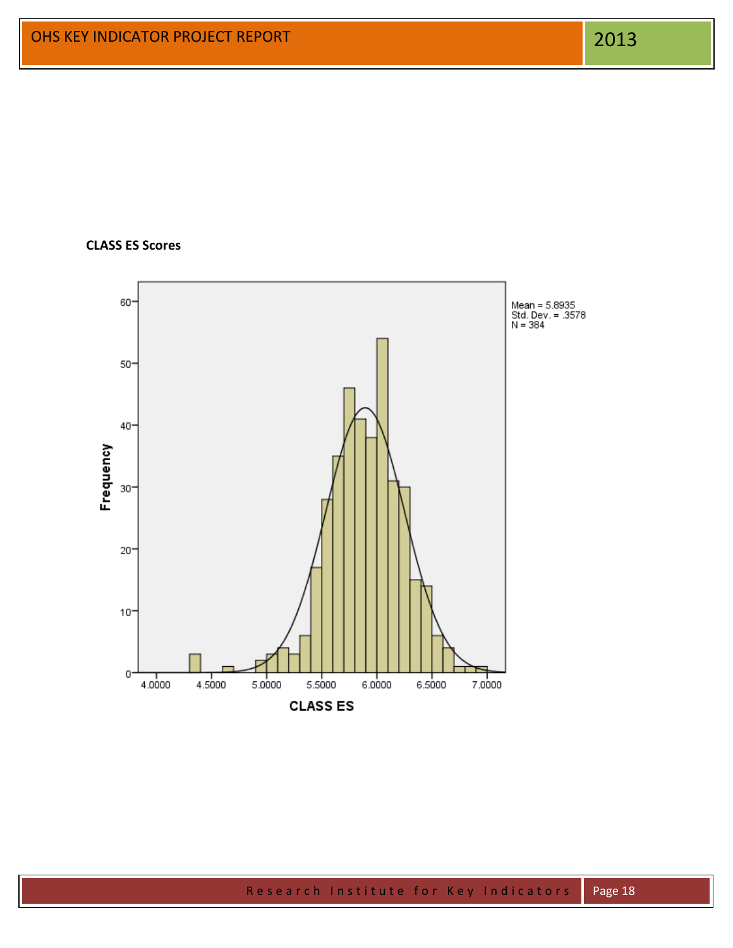# **CLASS ES Scores**

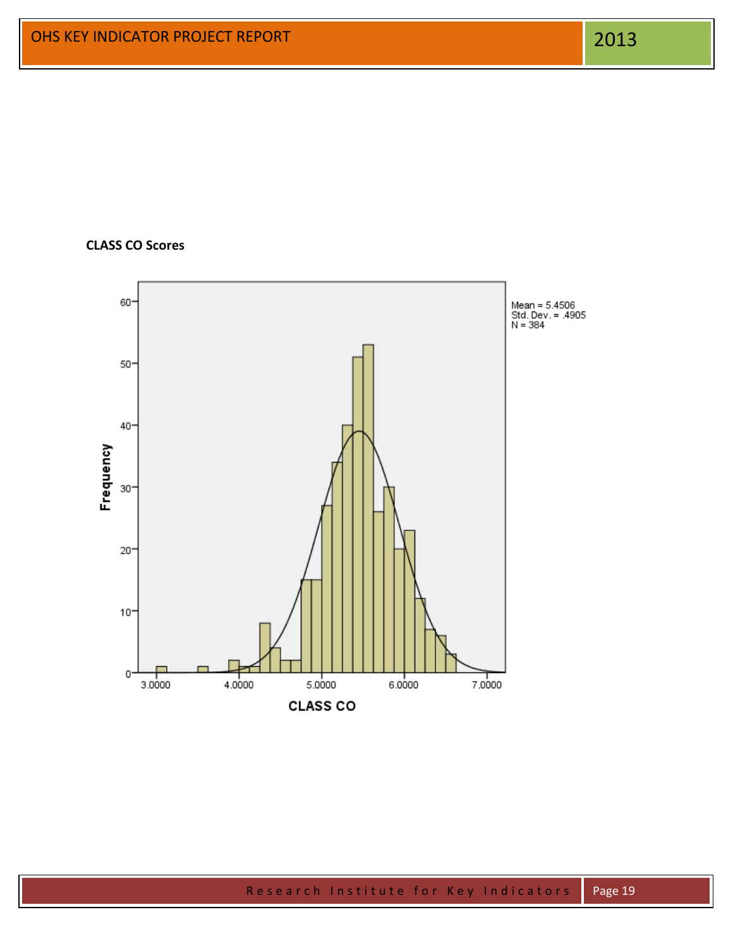# **CLASS CO Scores**

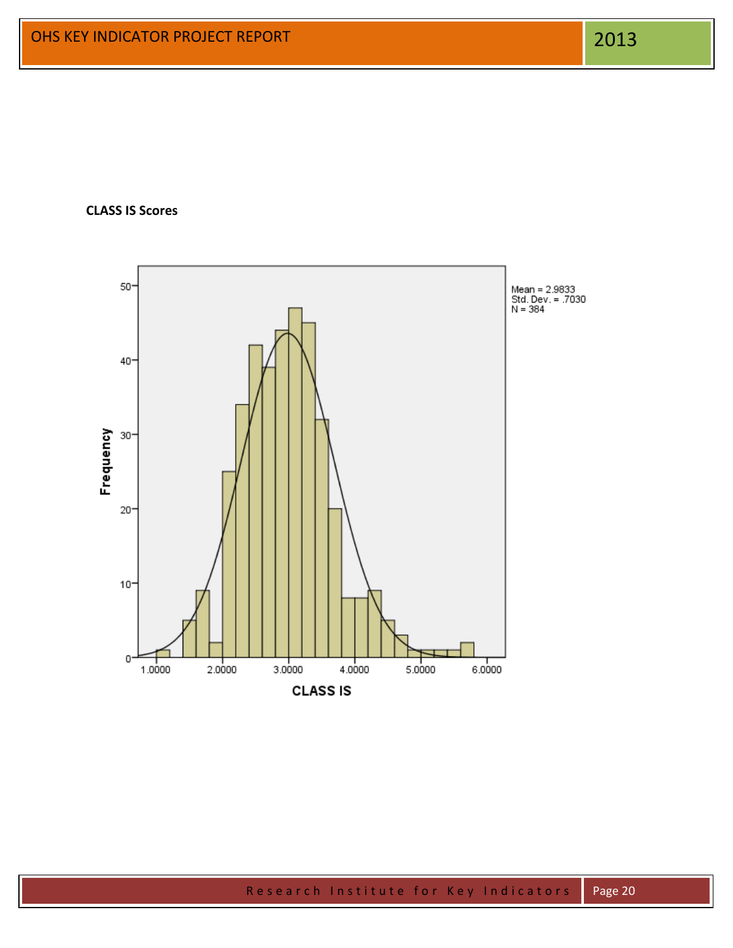**CLASS IS Scores**

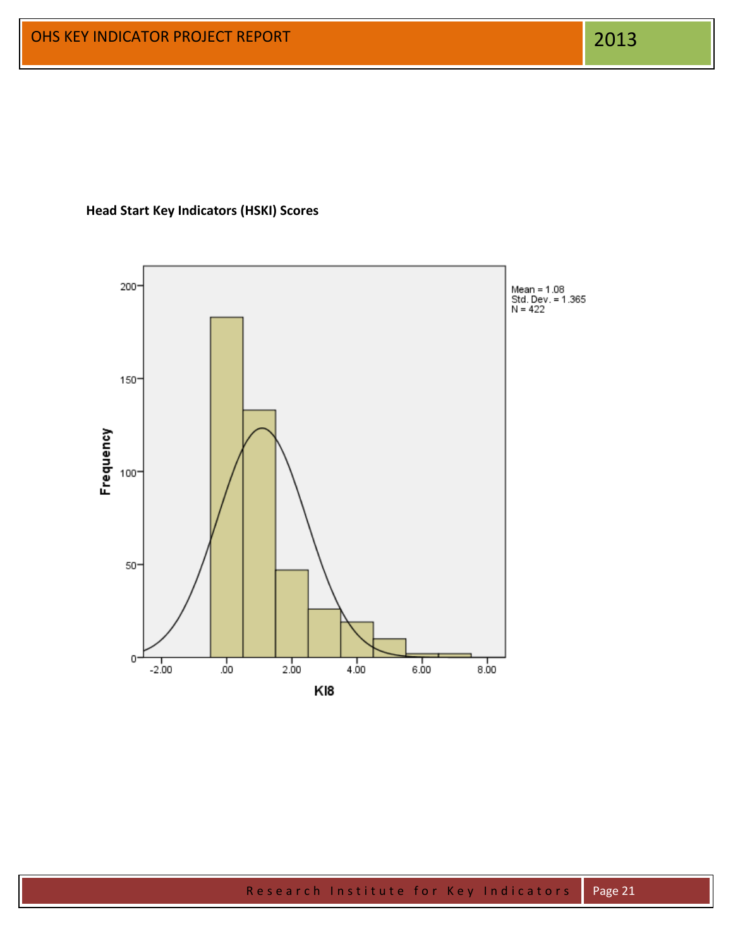**Head Start Key Indicators (HSKI) Scores**

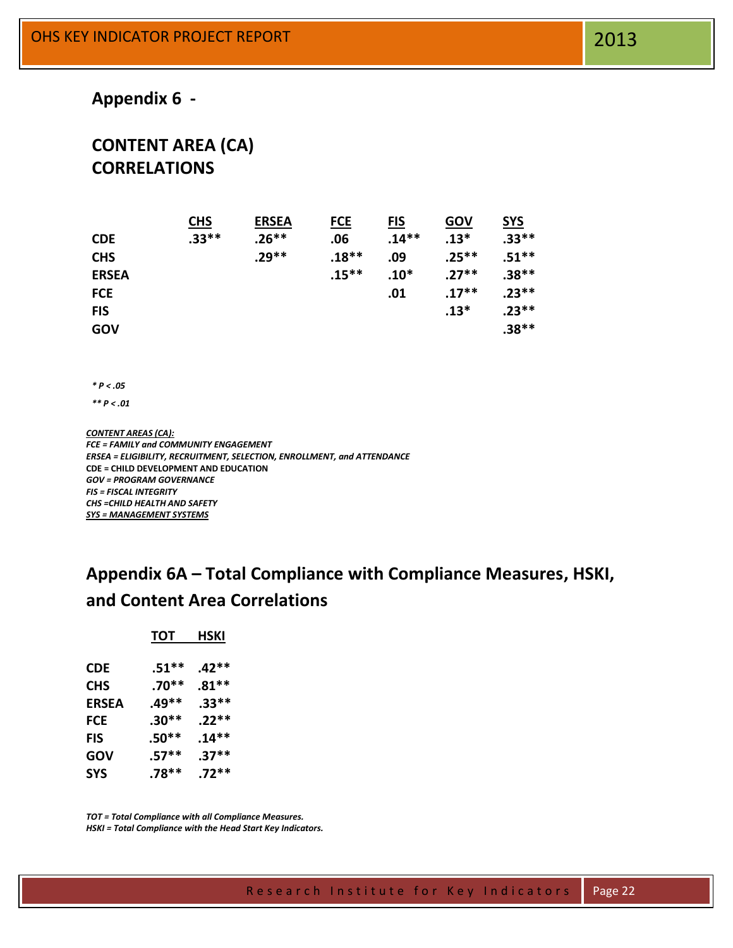# **Appendix 6 -**

# **CONTENT AREA (CA) CORRELATIONS**

|              | <b>CHS</b> | <b>ERSEA</b> | <b>FCE</b> | <u>FIS</u> | GOV      | <b>SYS</b> |
|--------------|------------|--------------|------------|------------|----------|------------|
| <b>CDE</b>   | $.33**$    | $.26**$      | .06        | $.14**$    | $.13*$   | $.33**$    |
| <b>CHS</b>   |            | $.29**$      | $.18**$    | .09        | $.25***$ | $.51***$   |
| <b>ERSEA</b> |            |              | $.15***$   | $.10*$     | $.27**$  | $.38**$    |
| <b>FCE</b>   |            |              |            | .01        | $.17***$ | $.23**$    |
| <b>FIS</b>   |            |              |            |            | $.13*$   | $.23**$    |
| GOV          |            |              |            |            |          | $.38**$    |

*\* P < .05*

*\*\* P < .01*

*CONTENT AREAS (CA): FCE = FAMILY and COMMUNITY ENGAGEMENT ERSEA = ELIGIBILITY, RECRUITMENT, SELECTION, ENROLLMENT, and ATTENDANCE* **CDE = CHILD DEVELOPMENT AND EDUCATION** *GOV = PROGRAM GOVERNANCE FIS = FISCAL INTEGRITY CHS =CHILD HEALTH AND SAFETY SYS = MANAGEMENT SYSTEMS*

# **Appendix 6A – Total Compliance with Compliance Measures, HSKI, and Content Area Correlations**

| тот     | HSKI    |
|---------|---------|
| $.51**$ | $.42**$ |
| $.70**$ | $.81**$ |
| .49**   | $.33**$ |
| $.30**$ | $.22**$ |
| $.50**$ | $.14**$ |
| $.57**$ | $.37**$ |
| $.78**$ | $.72**$ |
|         |         |

*TOT = Total Compliance with all Compliance Measures. HSKI = Total Compliance with the Head Start Key Indicators.*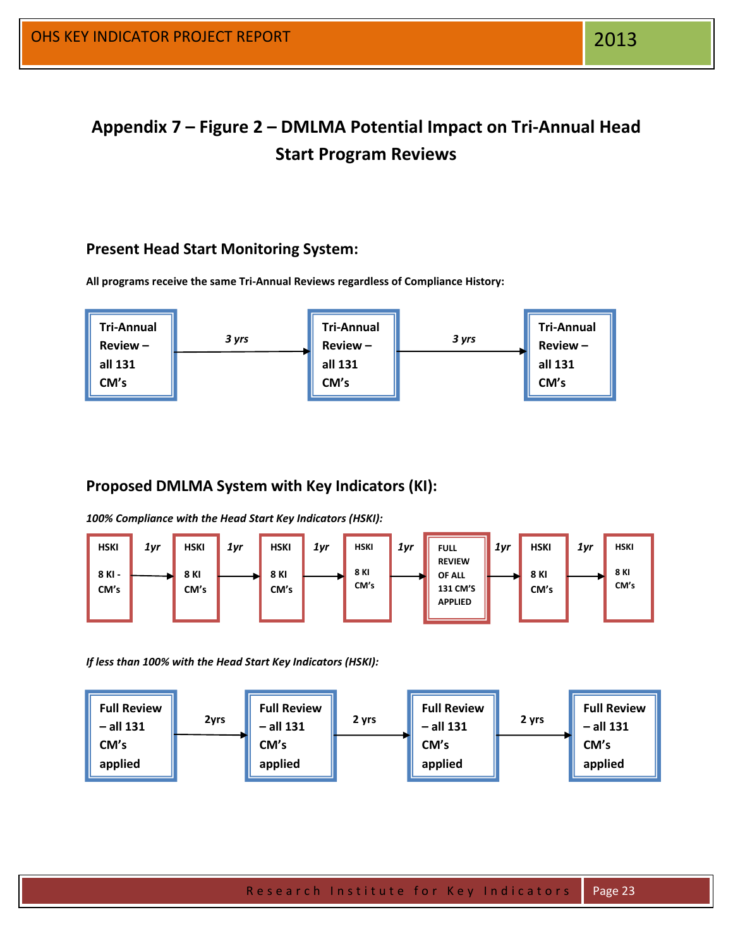**Appendix 7 – Figure 2 – DMLMA Potential Impact on Tri-Annual Head Start Program Reviews**

# **Present Head Start Monitoring System:**

**All programs receive the same Tri-Annual Reviews regardless of Compliance History:**



# **Proposed DMLMA System with Key Indicators (KI):**

*100% Compliance with the Head Start Key Indicators (HSKI):*



*If less than 100% with the Head Start Key Indicators (HSKI):*